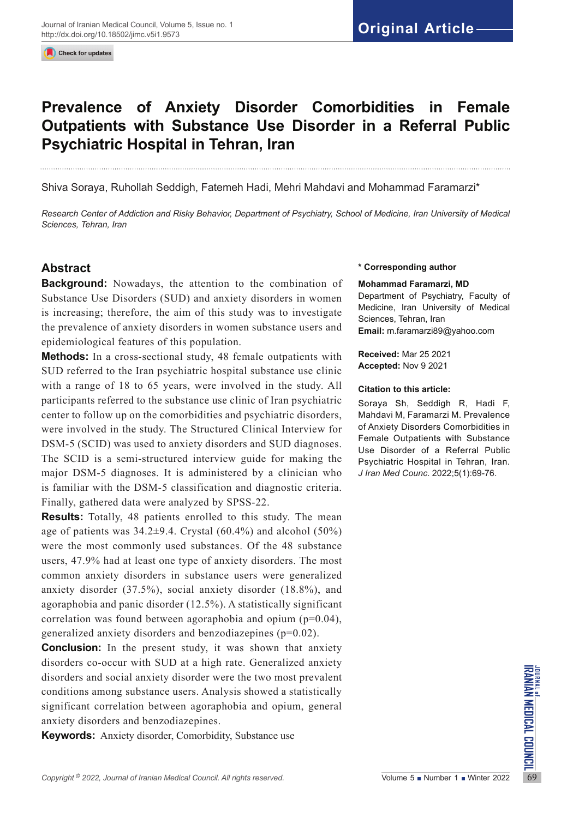Check for updates

# **Prevalence of Anxiety Disorder Comorbidities in Female Outpatients with Substance Use Disorder in a Referral Public Psychiatric Hospital in Tehran, Iran**

Shiva Soraya, Ruhollah Seddigh, Fatemeh Hadi, Mehri Mahdavi and Mohammad Faramarzi\*

*Research Center of Addiction and Risky Behavior, Department of Psychiatry, School of Medicine, Iran University of Medical Sciences, Tehran, Iran*

## **Abstract**

**Background:** Nowadays, the attention to the combination of Substance Use Disorders (SUD) and anxiety disorders in women is increasing; therefore, the aim of this study was to investigate the prevalence of anxiety disorders in women substance users and epidemiological features of this population.

**Methods:** In a cross-sectional study, 48 female outpatients with SUD referred to the Iran psychiatric hospital substance use clinic with a range of 18 to 65 years, were involved in the study. All participants referred to the substance use clinic of Iran psychiatric center to follow up on the comorbidities and psychiatric disorders, were involved in the study. The Structured Clinical Interview for DSM-5 (SCID) was used to anxiety disorders and SUD diagnoses. The SCID is a semi-structured interview guide for making the major DSM-5 diagnoses. It is administered by a clinician who is familiar with the DSM-5 classification and diagnostic criteria. Finally, gathered data were analyzed by SPSS-22.

**Results:** Totally, 48 patients enrolled to this study. The mean age of patients was  $34.2\pm9.4$ . Crystal (60.4%) and alcohol (50%) were the most commonly used substances. Of the 48 substance users, 47.9% had at least one type of anxiety disorders. The most common anxiety disorders in substance users were generalized anxiety disorder (37.5%), social anxiety disorder (18.8%), and agoraphobia and panic disorder (12.5%). A statistically significant correlation was found between agoraphobia and opium  $(p=0.04)$ , generalized anxiety disorders and benzodiazepines (p=0.02).

*Copyright* <sup>6</sup> 2022, *Journal of Iranian Medical Council. All rights reserved.<br>
Copyright<sup>6</sup> 2022, <i>Journal of Iranian Medical Council. All rights reserved.*<br>
Verywords: Anxiety disorder, Comorbidity, Substance use<br>
Copyr **Conclusion:** In the present study, it was shown that anxiety disorders co-occur with SUD at a high rate. Generalized anxiety disorders and social anxiety disorder were the two most prevalent conditions among substance users. Analysis showed a statistically significant correlation between agoraphobia and opium, general anxiety disorders and benzodiazepines.

**Keywords:** Anxiety disorder, Comorbidity, Substance use

#### **\* Corresponding author**

#### **Mohammad Faramarzi, MD**

Department of Psychiatry, Faculty of Medicine, Iran University of Medical Sciences, Tehran, Iran **Email:** m.faramarzi89@yahoo.com

**Received:** Mar 25 2021 **Accepted:** Nov 9 2021

#### **Citation to this article:**

Soraya Sh, Seddigh R, Hadi F, Mahdavi M, Faramarzi M. Prevalence of Anxiety Disorders Comorbidities in Female Outpatients with Substance Use Disorder of a Referral Public Psychiatric Hospital in Tehran, Iran. *J Iran Med Counc*. 2022;5(1):69-76.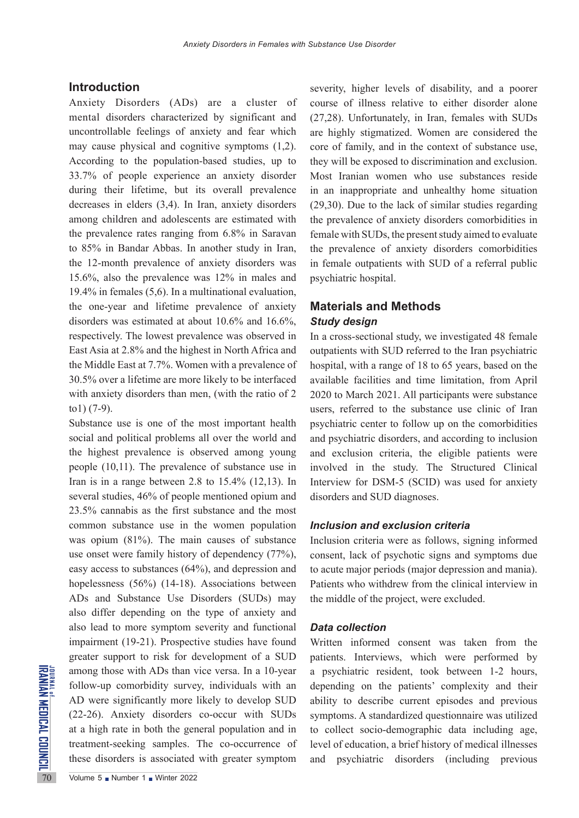## **Introduction**

Anxiety Disorders (ADs) are a cluster of mental disorders characterized by significant and uncontrollable feelings of anxiety and fear which may cause physical and cognitive symptoms (1,2). According to the population-based studies, up to 33.7% of people experience an anxiety disorder during their lifetime, but its overall prevalence decreases in elders (3,4). In Iran, anxiety disorders among children and adolescents are estimated with the prevalence rates ranging from 6.8% in Saravan to 85% in Bandar Abbas. In another study in Iran, the 12-month prevalence of anxiety disorders was 15.6%, also the prevalence was 12% in males and 19.4% in females (5,6). In a multinational evaluation, the one-year and lifetime prevalence of anxiety disorders was estimated at about 10.6% and 16.6%, respectively. The lowest prevalence was observed in East Asia at 2.8% and the highest in North Africa and the Middle East at 7.7%. Women with a prevalence of 30.5% over a lifetime are more likely to be interfaced with anxiety disorders than men, (with the ratio of 2 to1) (7-9).

**EXAMPLE 120** among those with ADs than v<br>follow-up comorbidity surve<br>AD were significantly more<br>(22-26). Anxiety disorders<br>at a high rate in both the ger<br>treatment-seeking samples.<br>these disorders is associated<br>volume 5 N Substance use is one of the most important health social and political problems all over the world and the highest prevalence is observed among young people (10,11). The prevalence of substance use in Iran is in a range between 2.8 to  $15.4\%$  (12,13). In several studies, 46% of people mentioned opium and 23.5% cannabis as the first substance and the most common substance use in the women population was opium (81%). The main causes of substance use onset were family history of dependency (77%), easy access to substances (64%), and depression and hopelessness (56%) (14-18). Associations between ADs and Substance Use Disorders (SUDs) may also differ depending on the type of anxiety and also lead to more symptom severity and functional impairment (19-21). Prospective studies have found greater support to risk for development of a SUD among those with ADs than vice versa. In a 10-year follow-up comorbidity survey, individuals with an AD were significantly more likely to develop SUD (22-26). Anxiety disorders co-occur with SUDs at a high rate in both the general population and in treatment-seeking samples. The co-occurrence of these disorders is associated with greater symptom

course of illness relative to either disorder alone (27,28). Unfortunately, in Iran, females with SUDs are highly stigmatized. Women are considered the core of family, and in the context of substance use, they will be exposed to discrimination and exclusion. Most Iranian women who use substances reside in an inappropriate and unhealthy home situation (29,30). Due to the lack of similar studies regarding the prevalence of anxiety disorders comorbidities in female with SUDs, the present study aimed to evaluate the prevalence of anxiety disorders comorbidities in female outpatients with SUD of a referral public psychiatric hospital.

severity, higher levels of disability, and a poorer

## **Materials and Methods** *Study design*

In a cross-sectional study, we investigated 48 female outpatients with SUD referred to the Iran psychiatric hospital, with a range of 18 to 65 years, based on the available facilities and time limitation, from April 2020 to March 2021. All participants were substance users, referred to the substance use clinic of Iran psychiatric center to follow up on the comorbidities and psychiatric disorders, and according to inclusion and exclusion criteria, the eligible patients were involved in the study. The Structured Clinical Interview for DSM-5 (SCID) was used for anxiety disorders and SUD diagnoses.

## *Inclusion and exclusion criteria*

Inclusion criteria were as follows, signing informed consent, lack of psychotic signs and symptoms due to acute major periods (major depression and mania). Patients who withdrew from the clinical interview in the middle of the project, were excluded.

## *Data collection*

Written informed consent was taken from the patients. Interviews, which were performed by a psychiatric resident, took between 1-2 hours, depending on the patients' complexity and their ability to describe current episodes and previous symptoms. A standardized questionnaire was utilized to collect socio-demographic data including age, level of education, a brief history of medical illnesses and psychiatric disorders (including previous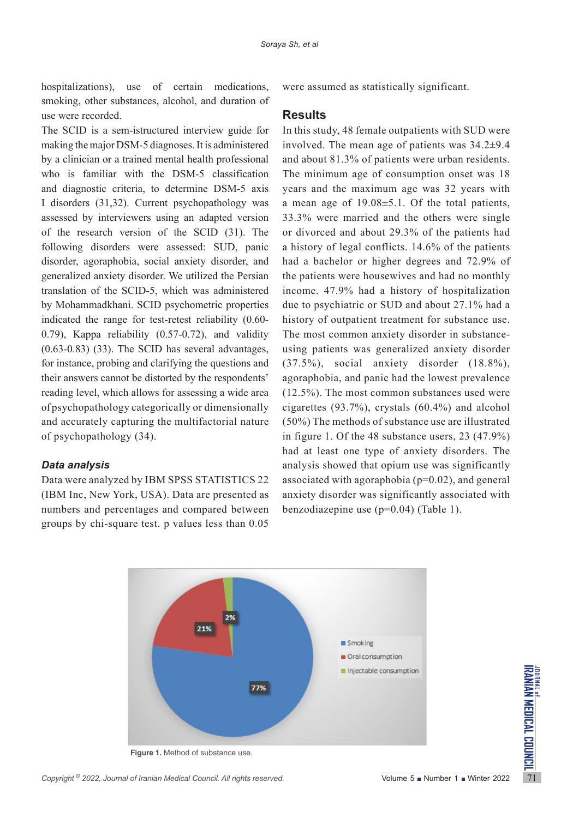hospitalizations), use of certain medications, smoking, other substances, alcohol, and duration of use were recorded.

The SCID is a sem-istructured interview guide for making the major DSM-5 diagnoses. It is administered by a clinician or a trained mental health professional who is familiar with the DSM-5 classification and diagnostic criteria, to determine DSM-5 axis I disorders (31,32). Current psychopathology was assessed by interviewers using an adapted version of the research version of the SCID (31). The following disorders were assessed: SUD, panic disorder, agoraphobia, social anxiety disorder, and generalized anxiety disorder. We utilized the Persian translation of the SCID-5, which was administered by Mohammadkhani. SCID psychometric properties indicated the range for test-retest reliability (0.60- 0.79), Kappa reliability (0.57-0.72), and validity  $(0.63-0.83)$   $(33)$ . The SCID has several advantages, for instance, probing and clarifying the questions and their answers cannot be distorted by the respondents' reading level, which allows for assessing a wide area of psychopathology categorically or dimensionally and accurately capturing the multifactorial nature of psychopathology (34).

#### *Data analysis*

Data were analyzed by IBM SPSS STATISTICS 22 (IBM Inc, New York, USA). Data are presented as numbers and percentages and compared between groups by chi-square test. p values less than 0.05 were assumed as statistically significant.

## **Results**

In this study, 48 female outpatients with SUD were involved. The mean age of patients was 34.2±9.4 and about 81.3% of patients were urban residents. The minimum age of consumption onset was 18 years and the maximum age was 32 years with a mean age of 19.08±5.1. Of the total patients, 33.3% were married and the others were single or divorced and about 29.3% of the patients had a history of legal conflicts. 14.6% of the patients had a bachelor or higher degrees and 72.9% of the patients were housewives and had no monthly income. 47.9% had a history of hospitalization due to psychiatric or SUD and about 27.1% had a history of outpatient treatment for substance use. The most common anxiety disorder in substanceusing patients was generalized anxiety disorder (37.5%), social anxiety disorder (18.8%), agoraphobia, and panic had the lowest prevalence (12.5%). The most common substances used were cigarettes (93.7%), crystals (60.4%) and alcohol (50%) The methods of substance use are illustrated in figure 1. Of the 48 substance users, 23 (47.9%) had at least one type of anxiety disorders. The analysis showed that opium use was significantly associated with agoraphobia ( $p=0.02$ ), and general anxiety disorder was significantly associated with benzodiazepine use (p=0.04) (Table 1).



 **Figure 1.** Method of substance use.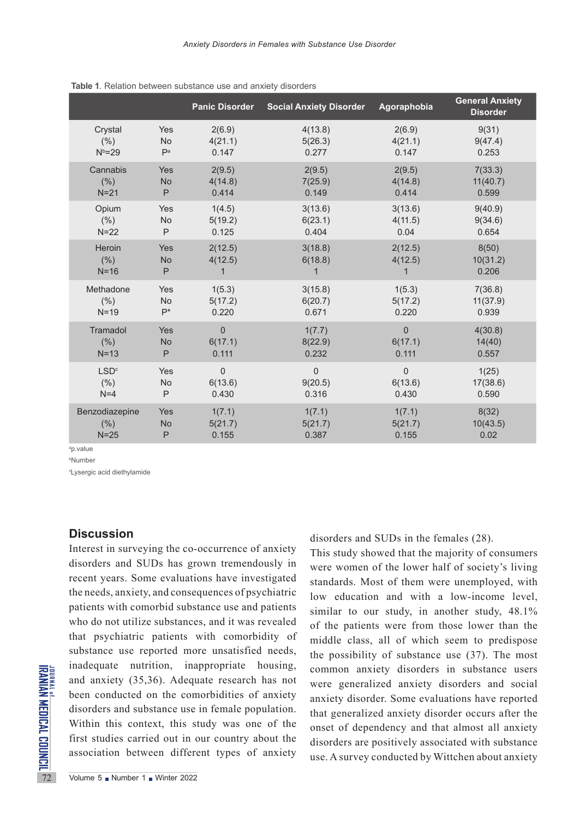|                  |                | <b>Panic Disorder</b> | <b>Social Anxiety Disorder</b> | Agoraphobia    | <b>General Anxiety</b><br><b>Disorder</b> |
|------------------|----------------|-----------------------|--------------------------------|----------------|-------------------------------------------|
| Crystal          | Yes            | 2(6.9)                | 4(13.8)                        | 2(6.9)         | 9(31)                                     |
| (% )             | No             | 4(21.1)               | 5(26.3)                        | 4(21.1)        | 9(47.4)                                   |
| $N^b = 29$       | P <sup>a</sup> | 0.147                 | 0.277                          | 0.147          | 0.253                                     |
| Cannabis         | Yes            | 2(9.5)                | 2(9.5)                         | 2(9.5)         | 7(33.3)                                   |
| (% )             | <b>No</b>      | 4(14.8)               | 7(25.9)                        | 4(14.8)        | 11(40.7)                                  |
| $N=21$           | P              | 0.414                 | 0.149                          | 0.414          | 0.599                                     |
| Opium            | Yes            | 1(4.5)                | 3(13.6)                        | 3(13.6)        | 9(40.9)                                   |
| (% )             | No             | 5(19.2)               | 6(23.1)                        | 4(11.5)        | 9(34.6)                                   |
| $N=22$           | P              | 0.125                 | 0.404                          | 0.04           | 0.654                                     |
| Heroin           | Yes            | 2(12.5)               | 3(18.8)                        | 2(12.5)        | 8(50)                                     |
| (% )             | No             | 4(12.5)               | 6(18.8)                        | 4(12.5)        | 10(31.2)                                  |
| $N=16$           | P              | 1                     | $\overline{1}$                 | $\mathbf 1$    | 0.206                                     |
| Methadone        | Yes            | 1(5.3)                | 3(15.8)                        | 1(5.3)         | 7(36.8)                                   |
| (% )             | <b>No</b>      | 5(17.2)               | 6(20.7)                        | 5(17.2)        | 11(37.9)                                  |
| $N=19$           | $P^*$          | 0.220                 | 0.671                          | 0.220          | 0.939                                     |
| Tramadol         | Yes            | $\Omega$              | 1(7.7)                         | $\overline{0}$ | 4(30.8)                                   |
| (% )             | No             | 6(17.1)               | 8(22.9)                        | 6(17.1)        | 14(40)                                    |
| $N=13$           | P              | 0.111                 | 0.232                          | 0.111          | 0.557                                     |
| LSD <sup>c</sup> | Yes            | $\mathbf 0$           | $\overline{0}$                 | 0              | 1(25)                                     |
| (% )             | No             | 6(13.6)               | 9(20.5)                        | 6(13.6)        | 17(38.6)                                  |
| $N=4$            | P              | 0.430                 | 0.316                          | 0.430          | 0.590                                     |
| Benzodiazepine   | Yes            | 1(7.1)                | 1(7.1)                         | 1(7.1)         | 8(32)                                     |
| (% )             | No             | 5(21.7)               | 5(21.7)                        | 5(21.7)        | 10(43.5)                                  |
| $N=25$           | P              | 0.155                 | 0.387                          | 0.155          | 0.02                                      |

 **Table 1**. Relation between substance use and anxiety disorders

a p.value

b Number

c Lysergic acid diethylamide

## **Discussion**

THE ISLAM and anxiety (35,36). Adequ<br>
sand anxiety (35,36). Adequ<br>
been conducted on the com<br>
disorders and substance use<br>
Within this context, this s<br>
first studies carried out in association between differences Interest in surveying the co-occurrence of anxiety disorders and SUDs has grown tremendously in recent years. Some evaluations have investigated the needs, anxiety, and consequences of psychiatric patients with comorbid substance use and patients who do not utilize substances, and it was revealed that psychiatric patients with comorbidity of substance use reported more unsatisfied needs, inadequate nutrition, inappropriate housing, and anxiety (35,36). Adequate research has not been conducted on the comorbidities of anxiety disorders and substance use in female population. Within this context, this study was one of the first studies carried out in our country about the association between different types of anxiety

disorders and SUDs in the females (28).

This study showed that the majority of consumers were women of the lower half of society's living standards. Most of them were unemployed, with low education and with a low-income level, similar to our study, in another study, 48.1% of the patients were from those lower than the middle class, all of which seem to predispose the possibility of substance use (37). The most common anxiety disorders in substance users were generalized anxiety disorders and social anxiety disorder. Some evaluations have reported that generalized anxiety disorder occurs after the onset of dependency and that almost all anxiety disorders are positively associated with substance use. A survey conducted by Wittchen about anxiety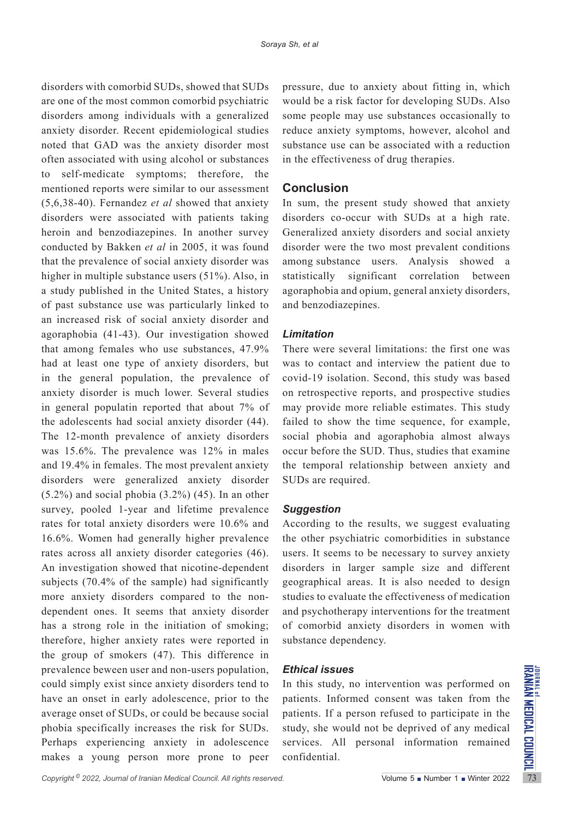disorders with comorbid SUDs, showed that SUDs are one of the most common comorbid psychiatric disorders among individuals with a generalized anxiety disorder. Recent epidemiological studies noted that GAD was the anxiety disorder most often associated with using alcohol or substances to self-medicate symptoms; therefore, the mentioned reports were similar to our assessment (5,6,38-40). Fernandez *et al* showed that anxiety disorders were associated with patients taking heroin and benzodiazepines. In another survey conducted by Bakken *et al* in 2005, it was found that the prevalence of social anxiety disorder was higher in multiple substance users (51%). Also, in a study published in the United States, a history of past substance use was particularly linked to an increased risk of social anxiety disorder and agoraphobia (41-43). Our investigation showed that among females who use substances, 47.9% had at least one type of anxiety disorders, but in the general population, the prevalence of anxiety disorder is much lower. Several studies in general populatin reported that about 7% of the adolescents had social anxiety disorder (44). The 12-month prevalence of anxiety disorders was 15.6%. The prevalence was 12% in males and 19.4% in females. The most prevalent anxiety disorders were generalized anxiety disorder  $(5.2\%)$  and social phobia  $(3.2\%)$   $(45)$ . In an other survey, pooled 1-year and lifetime prevalence rates for total anxiety disorders were 10.6% and 16.6%. Women had generally higher prevalence rates across all anxiety disorder categories (46). An investigation showed that nicotine-dependent subjects (70.4% of the sample) had significantly more anxiety disorders compared to the nondependent ones. It seems that anxiety disorder has a strong role in the initiation of smoking; therefore, higher anxiety rates were reported in the group of smokers (47). This difference in prevalence beween user and non-users population, could simply exist since anxiety disorders tend to have an onset in early adolescence, prior to the average onset of SUDs, or could be because social phobia specifically increases the risk for SUDs. Perhaps experiencing anxiety in adolescence makes a young person more prone to peer pressure, due to anxiety about fitting in, which would be a risk factor for developing SUDs. Also some people may use substances occasionally to reduce anxiety symptoms, however, alcohol and substance use can be associated with a reduction in the effectiveness of drug therapies.

## **Conclusion**

In sum, the present study showed that anxiety disorders co-occur with SUDs at a high rate. Generalized anxiety disorders and social anxiety disorder were the two most prevalent conditions among substance users. Analysis showed a statistically significant correlation between agoraphobia and opium, general anxiety disorders, and benzodiazepines.

## *Limitation*

There were several limitations: the first one was was to contact and interview the patient due to covid-19 isolation. Second, this study was based on retrospective reports, and prospective studies may provide more reliable estimates. This study failed to show the time sequence, for example, social phobia and agoraphobia almost always occur before the SUD. Thus, studies that examine the temporal relationship between anxiety and SUDs are required.

### *Suggestion*

According to the results, we suggest evaluating the other psychiatric comorbidities in substance users. It seems to be necessary to survey anxiety disorders in larger sample size and different geographical areas. It is also needed to design studies to evaluate the effectiveness of medication and psychotherapy interventions for the treatment of comorbid anxiety disorders in women with substance dependency.

## *Ethical issues*

In this study, no intervention was performed on patients. Informed consent was taken from the patients. If a person refused to participate in the study, she would not be deprived of any medical services. All personal information remained confidential.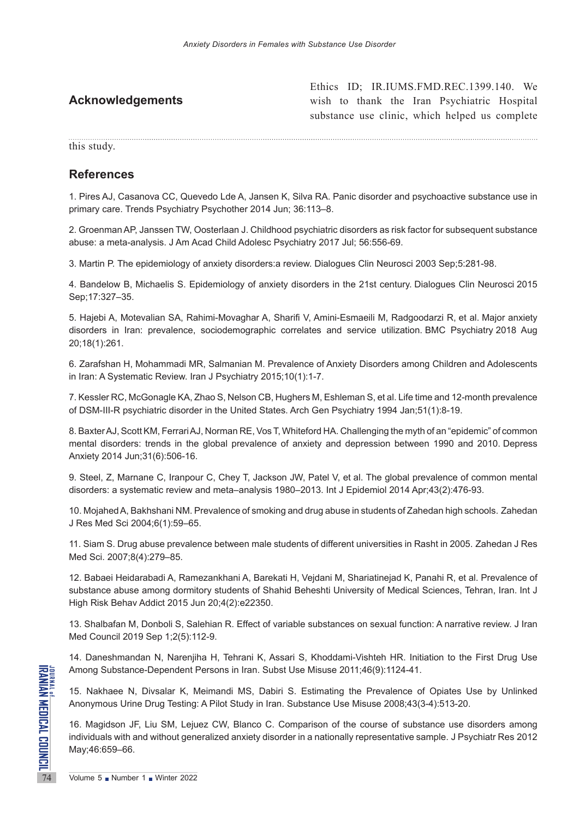|                         | Ethics ID; IR.IUMS.FMD.REC.1399.140. We        |
|-------------------------|------------------------------------------------|
| <b>Acknowledgements</b> | wish to thank the Iran Psychiatric Hospital    |
|                         | substance use clinic, which helped us complete |
|                         |                                                |
| this study.             |                                                |

 $E(t) = \text{ID}$ , IB.IUMS.FMD.REC.1399.140.

## **References**

1. Pires AJ, Casanova CC, Quevedo Lde A, Jansen K, Silva RA. Panic disorder and psychoactive substance use in primary care. Trends Psychiatry Psychother 2014 Jun; 36:113–8.

2. Groenman AP, Janssen TW, Oosterlaan J. Childhood psychiatric disorders as risk factor for subsequent substance abuse: a meta-analysis. J Am Acad Child Adolesc Psychiatry 2017 Jul; 56:556-69.

3. Martin P. The epidemiology of anxiety disorders:a review. Dialogues Clin Neurosci 2003 Sep;5:281-98.

4. Bandelow B, Michaelis S. Epidemiology of anxiety disorders in the 21st century. Dialogues Clin Neurosci 2015 Sep;17:327–35.

5. Hajebi A, Motevalian SA, Rahimi-Movaghar A, Sharifi V, Amini-Esmaeili M, Radgoodarzi R, et al. Major anxiety disorders in Iran: prevalence, sociodemographic correlates and service utilization. BMC Psychiatry 2018 Aug 20;18(1):261.

6. Zarafshan H, Mohammadi MR, Salmanian M. Prevalence of Anxiety Disorders among Children and Adolescents in Iran: A Systematic Review. Iran J Psychiatry 2015;10(1):1-7.

7. Kessler RC, McGonagle KA, Zhao S, Nelson CB, Hughers M, Eshleman S, et al. Life time and 12-month prevalence of DSM-III-R psychiatric disorder in the United States. Arch Gen Psychiatry 1994 Jan;51(1):8-19.

8. Baxter AJ, Scott KM, Ferrari AJ, Norman RE, Vos T, Whiteford HA. Challenging the myth of an "epidemic" of common mental disorders: trends in the global prevalence of anxiety and depression between 1990 and 2010. Depress Anxiety 2014 Jun;31(6):506-16.

9. Steel, Z, Marnane C, Iranpour C, Chey T, Jackson JW, Patel V, et al. The global prevalence of common mental disorders: a systematic review and meta–analysis 1980–2013. Int J Epidemiol 2014 Apr;43(2):476-93.

10. Mojahed A, Bakhshani NM. Prevalence of smoking and drug abuse in students of Zahedan high schools. Zahedan J Res Med Sci 2004;6(1):59–65.

11. Siam S. Drug abuse prevalence between male students of different universities in Rasht in 2005. Zahedan J Res Med Sci. 2007;8(4):279–85.

12. Babaei Heidarabadi A, Ramezankhani A, Barekati H, Vejdani M, Shariatinejad K, Panahi R, et al. Prevalence of substance abuse among dormitory students of Shahid Beheshti University of Medical Sciences, Tehran, Iran. Int J High Risk Behav Addict 2015 Jun 20;4(2):e22350.

13. Shalbafan M, Donboli S, Salehian R. Effect of variable substances on sexual function: A narrative review. J Iran Med Council 2019 Sep 1;2(5):112-9.

14. Daneshmandan N, Narenjiha H, Tehrani K, Assari S, Khoddami-Vishteh HR. Initiation to the First Drug Use Among Substance-Dependent Persons in Iran. Subst Use Misuse 2011;46(9):1124-41.

15. Nakhaee N, Divsalar K, Meimandi MS, Dabiri S. Estimating the Prevalence of Opiates Use by Unlinked Anonymous Urine Drug Testing: A Pilot Study in Iran. Substance Use Misuse 2008;43(3-4):513-20.

**PARTIME Among Substance-Dependent F<br>
15. Nakhaee N, Divsalar K, M<br>
Anonymous Urine Drug Testing:<br>
16. Magidson JF, Liu SM, Leju<br>
individuals with and without gen<br>
May;46:659–66.<br>
The May;46:659–66.<br>
Volume 5 Number 1 Nint** 16. Magidson JF, Liu SM, Lejuez CW, Blanco C. Comparison of the course of substance use disorders among individuals with and without generalized anxiety disorder in a nationally representative sample. J Psychiatr Res 2012 May;46:659–66.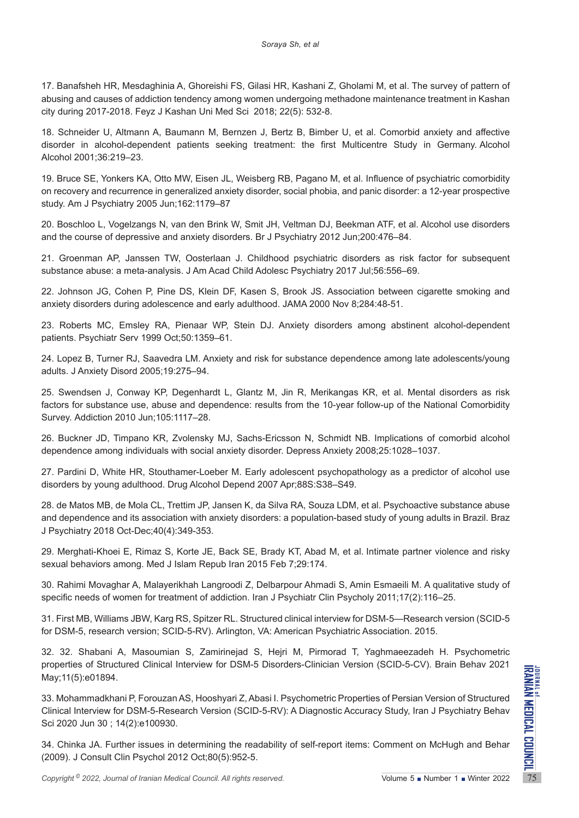17. Banafsheh HR, Mesdaghinia A, Ghoreishi FS, Gilasi HR, Kashani Z, Gholami M, et al. The survey of pattern of abusing and causes of addiction tendency among women undergoing methadone maintenance treatment in Kashan city during 2017-2018. Feyz J Kashan Uni Med Sci 2018; 22(5): 532-8.

18. Schneider U, Altmann A, Baumann M, Bernzen J, Bertz B, Bimber U, et al. Comorbid anxiety and affective disorder in alcohol-dependent patients seeking treatment: the first Multicentre Study in Germany. Alcohol Alcohol 2001;36:219–23.

19. Bruce SE, Yonkers KA, Otto MW, Eisen JL, Weisberg RB, Pagano M, et al. Influence of psychiatric comorbidity on recovery and recurrence in generalized anxiety disorder, social phobia, and panic disorder: a 12-year prospective study. Am J Psychiatry 2005 Jun;162:1179–87

20. Boschloo L, Vogelzangs N, van den Brink W, Smit JH, Veltman DJ, Beekman ATF, et al. Alcohol use disorders and the course of depressive and anxiety disorders. Br J Psychiatry 2012 Jun;200:476–84.

21. Groenman AP, Janssen TW, Oosterlaan J. Childhood psychiatric disorders as risk factor for subsequent substance abuse: a meta-analysis. J Am Acad Child Adolesc Psychiatry 2017 Jul;56:556–69.

22. Johnson JG, Cohen P, Pine DS, Klein DF, Kasen S, Brook JS. Association between cigarette smoking and anxiety disorders during adolescence and early adulthood. JAMA 2000 Nov 8;284:48-51.

23. Roberts MC, Emsley RA, Pienaar WP, Stein DJ. Anxiety disorders among abstinent alcohol-dependent patients. Psychiatr Serv 1999 Oct;50:1359–61.

24. Lopez B, Turner RJ, Saavedra LM. Anxiety and risk for substance dependence among late adolescents/young adults. J Anxiety Disord 2005;19:275–94.

25. Swendsen J, Conway KP, Degenhardt L, Glantz M, Jin R, Merikangas KR, et al. Mental disorders as risk factors for substance use, abuse and dependence: results from the 10-year follow-up of the National Comorbidity Survey. Addiction 2010 Jun;105:1117–28.

26. Buckner JD, Timpano KR, Zvolensky MJ, Sachs-Ericsson N, Schmidt NB. Implications of comorbid alcohol dependence among individuals with social anxiety disorder. Depress Anxiety 2008;25:1028–1037.

27. Pardini D, White HR, Stouthamer-Loeber M. Early adolescent psychopathology as a predictor of alcohol use disorders by young adulthood. Drug Alcohol Depend 2007 Apr;88S:S38–S49.

28. de Matos MB, de Mola CL, Trettim JP, Jansen K, da Silva RA, Souza LDM, et al. Psychoactive substance abuse and dependence and its association with anxiety disorders: a population-based study of young adults in Brazil. Braz J Psychiatry 2018 Oct-Dec;40(4):349-353.

29. Merghati-Khoei E, Rimaz S, Korte JE, Back SE, Brady KT, Abad M, et al. Intimate partner violence and risky sexual behaviors among. Med J Islam Repub Iran 2015 Feb 7;29:174.

30. Rahimi Movaghar A, Malayerikhah Langroodi Z, Delbarpour Ahmadi S, Amin Esmaeili M. A qualitative study of specific needs of women for treatment of addiction. Iran J Psychiatr Clin Psycholy 2011;17(2):116–25.

31. First MB, Williams JBW, Karg RS, Spitzer RL. Structured clinical interview for DSM-5—Research version (SCID-5 for DSM-5, research version; SCID-5-RV). Arlington, VA: American Psychiatric Association. 2015.

32. 32. Shabani A, Masoumian S, Zamirinejad S, Hejri M, Pirmorad T, Yaghmaeezadeh H. Psychometric properties of Structured Clinical Interview for DSM-5 Disorders-Clinician Version (SCID-5-CV). Brain Behav 2021 May;11(5):e01894.

*Copyright* <sup>®</sup> 2022, *Journal of Iranian Medical Council. All rights reserved.<br>
Comparing 2022, <i>Downald Kamin* P, Forouzan AS, Hooshyari Z, Abasi I. Psychometric Properties of Persian Version of Structured<br>
Clinical Int 33. Mohammadkhani P, Forouzan AS, Hooshyari Z, Abasi I. Psychometric Properties of Persian Version of Structured Clinical Interview for DSM-5-Research Version (SCID-5-RV): A Diagnostic Accuracy Study, Iran J Psychiatry Behav Sci 2020 Jun 30 ; 14(2):e100930.

34. Chinka JA. Further issues in determining the readability of self-report items: Comment on McHugh and Behar (2009). J Consult Clin Psychol 2012 Oct;80(5):952-5.